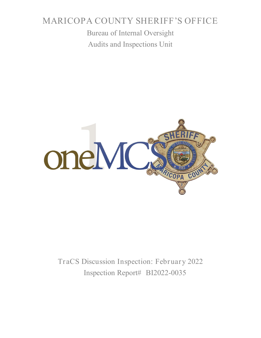# MARICOPA COUNTY SHERIFF'S OFFICE

Bureau of Internal Oversight Audits and Inspections Unit



TraCS Discussion Inspection: February 2022 Inspection Report# BI2022-0035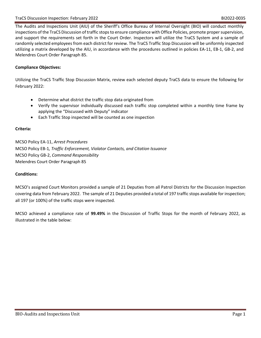The Audits and Inspections Unit (AIU) of the Sheriff's Office Bureau of Internal Oversight (BIO) will conduct monthly inspections of the TraCS Discussion of traffic stops to ensure compliance with Office Policies, promote proper supervision, and support the requirements set forth in the Court Order. Inspectors will utilize the TraCS System and a sample of randomly selected employees from each district for review. The TraCS Traffic Stop Discussion will be uniformly inspected utilizing a matrix developed by the AIU, in accordance with the procedures outlined in policies EA-11, EB-1, GB-2, and Melendres Court Order Paragraph 85.

### **Compliance Objectives:**

Utilizing the TraCS Traffic Stop Discussion Matrix, review each selected deputy TraCS data to ensure the following for February 2022:

- Determine what district the traffic stop data originated from
- Verify the supervisor individually discussed each traffic stop completed within a monthly time frame by applying the "Discussed with Deputy" indicator
- Each Traffic Stop inspected will be counted as one inspection

#### **Criteria:**

MCSO Policy EA-11, *Arrest Procedures* MCSO Policy EB-1*, Traffic Enforcement, Violator Contacts, and Citation Issuance* MCSO Policy GB-2, *Command Responsibility* Melendres Court Order Paragraph 85

#### **Conditions:**

MCSO's assigned Court Monitors provided a sample of 21 Deputies from all Patrol Districts for the Discussion Inspection covering data from February 2022. The sample of 21 Deputies provided a total of 197 traffic stops available for inspection; all 197 (or 100%) of the traffic stops were inspected.

MCSO achieved a compliance rate of **99.49%** in the Discussion of Traffic Stops for the month of February 2022, as illustrated in the table below: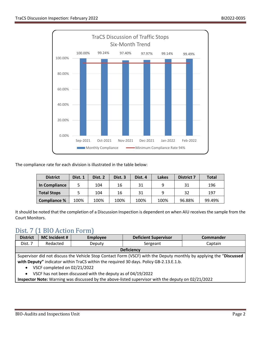

The compliance rate for each division is illustrated in the table below:

| <b>District</b>     | Dist. 1 | Dist. 2 | Dist. <sub>3</sub> | Dist. 4 | Lakes | <b>District 7</b> | <b>Total</b> |
|---------------------|---------|---------|--------------------|---------|-------|-------------------|--------------|
| In Compliance       |         | 104     | 16                 | 31      | a     | 31                | 196          |
| <b>Total Stops</b>  |         | 104     | 16                 | 31      | q     | 32                | 197          |
| <b>Compliance %</b> | 100%    | 100%    | 100%               | 100%    | 100%  | 96.88%            | 99.49%       |

It should be noted that the completion of a Discussion Inspection is dependent on when AIU receives the sample from the Court Monitors.

## Dist. 7 (1 BIO Action Form)

| <b>District</b>                                                                                                    | MC Incident # | <b>Employee</b> | <b>Deficient Supervisor</b> | <b>Commander</b> |  |  |
|--------------------------------------------------------------------------------------------------------------------|---------------|-----------------|-----------------------------|------------------|--|--|
| Dist. 7                                                                                                            | Redacted      | Deputy          | Sergeant                    | Captain          |  |  |
| <b>Deficiency</b>                                                                                                  |               |                 |                             |                  |  |  |
| Supervisor did not discuss the Vehicle Stop Contact Form (VSCF) with the Deputy monthly by applying the "Discussed |               |                 |                             |                  |  |  |

**with Deputy"** indicator within TraCS within the required 30 days. Policy GB-2.13.E.1.b.

- VSCF completed on 02/21/2022
- VSCF has not been discussed with the deputy as of 04/19/2022

**Inspector Note:** Warning was discussed by the above-listed supervisor with the deputy on 02/21/2022